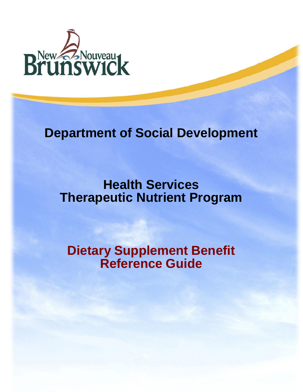

# **Department of Social Development**

**Health Services Therapeutic Nutrient Program** 

**Dietary Supplement Benefit Reference Guide**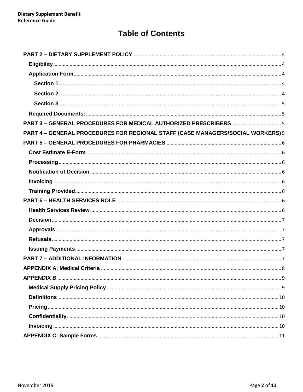# **Table of Contents**

| PART 4 - GENERAL PROCEDURES FOR REGIONAL STAFF (CASE MANAGERS/SOCIAL WORKERS) 5 |  |
|---------------------------------------------------------------------------------|--|
|                                                                                 |  |
|                                                                                 |  |
|                                                                                 |  |
|                                                                                 |  |
|                                                                                 |  |
|                                                                                 |  |
|                                                                                 |  |
|                                                                                 |  |
|                                                                                 |  |
|                                                                                 |  |
|                                                                                 |  |
|                                                                                 |  |
|                                                                                 |  |
|                                                                                 |  |
|                                                                                 |  |
|                                                                                 |  |
|                                                                                 |  |
|                                                                                 |  |
|                                                                                 |  |
|                                                                                 |  |
|                                                                                 |  |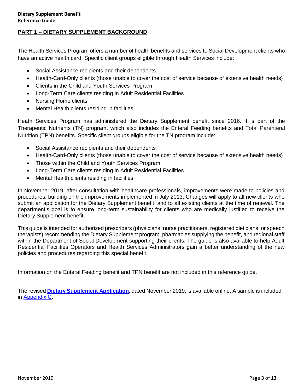#### **PART 1 – DIETARY SUPPLEMENT BACKGROUND**

The Health Services Program offers a number of health benefits and services to Social Development clients who have an active health card. Specific client groups eligible through Health Services include:

- Social Assistance recipients and their dependents
- Health-Card-Only clients (those unable to cover the cost of service because of extensive health needs)
- Clients in the Child and Youth Services Program
- Long-Term Care clients residing in Adult Residential Facilities
- Nursing Home clients
- Mental Health clients residing in facilities

Heath Services Program has administered the Dietary Supplement benefit since 2016. It is part of the Therapeutic Nutrients (TN) program, which also includes the Enteral Feeding benefits and Total Parenteral Nutrition (TPN) benefits. Specific client groups eligible for the TN program include:

- Social Assistance recipients and their dependents
- Health-Card-Only clients (those unable to cover the cost of service because of extensive health needs)
- Those within the Child and Youth Services Program
- Long-Term Care clients residing in Adult Residential Facilities
- Mental Health clients residing in facilities

In November 2019, after consultation with healthcare professionals, improvements were made to policies and procedures, building on the improvements implemented in July 2013. Changes will apply to all new clients who submit an application for the Dietary Supplement benefit, and to all existing clients at the time of renewal. The department's goal is to ensure long-term sustainability for clients who are medically justified to receive the Dietary Supplement benefit.

This guide is intended for authorized prescribers (physicians, nurse practitioners, registered dieticians, or speech therapists) recommending the Dietary Supplement program, pharmacies supplying the benefit, and regional staff within the Department of Social Development supporting their clients. The guide is also available to help Adult Residential Facilities Operators and Health Services Administrators gain a better understanding of the new policies and procedures regarding this special benefit.

Information on the Enteral Feeding benefit and TPN benefit are not included in this reference guide.

The revised **[Dietary Supplement Application](https://www2.gnb.ca/content/dam/gnb/Departments/sd-ds/pdf/HealthServices/forms/TherapeuticNutrientsSuppliesForm-FormulaireDeFournituresDeNutrimentsTherapeutiques.pdf)**, dated November 2019, is available online. A sample is included in [Appendix C.](#page-8-2)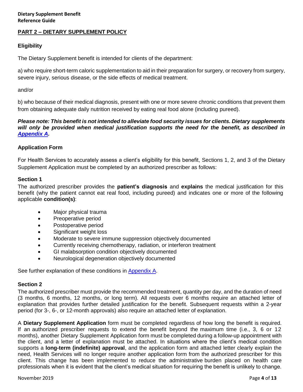#### <span id="page-3-0"></span>**PART 2 – DIETARY SUPPLEMENT POLICY**

#### <span id="page-3-1"></span>**Eligibility**

The Dietary Supplement benefit is intended for clients of the department:

a) who require short-term caloric supplementation to aid in their preparation for surgery, or recovery from surgery, severe injury, serious disease, or the side effects of medical treatment.

and/or

b) who because of their medical diagnosis, present with one or more severe chronic conditions that prevent them from obtaining adequate daily nutrition received by eating real food alone (including pureed).

#### *Please note: This benefit is not intended to alleviate food security issues for clients. Dietary supplements will only be provided when medical justification supports the need for the benefit, as described in [Appendix A.](#page-6-5)*

#### <span id="page-3-2"></span>**Application Form**

For Health Services to accurately assess a client's eligibility for this benefit, Sections 1, 2, and 3 of the [Dietary](https://sdnbcweb13.gnb.ca/Help/nbcase/dctnp/Dietary_Supplement_Benefit_Form.htm)  [Supplement A](https://sdnbcweb13.gnb.ca/Help/nbcase/dctnp/Dietary_Supplement_Benefit_Form.htm)pplication must be completed by an authorized prescriber as follows:

#### <span id="page-3-3"></span>**Section 1**

The authorized prescriber provides the **patient's diagnosis** and **explains** the medical justification for this benefit (why the patient cannot eat real food, including pureed) and indicates one or more of the following applicable **condition(s)**:

- Major physical trauma
- Preoperative period
- Postoperative period
- Significant weight loss
- Moderate to severe immune suppression objectively documented
- Currently receiving chemotherapy, radiation, or interferon treatment
- GI malabsorption condition objectively documented
- Neurological degeneration objectively documented

See further explanation of these conditions in [Appendix](#page-6-5) A.

#### <span id="page-3-4"></span>**Section 2**

The authorized prescriber must provide the recommended treatment, quantity per day, and the duration of need (3 months, 6 months, 12 months, or long term). All requests over 6 months require an attached letter of explanation that provides further detailed justification for the benefit. Subsequent requests within a 2-year period (for 3-, 6-, or 12-month approvals) also require an attached letter of explanation.

A **Dietary Supplement Application** form must be completed regardless of how long the benefit is required. If an authorized prescriber requests to extend the benefit beyond the maximum time (i.e., 3, 6 or 12 months), another Dietary Supplement Application form must be completed during a follow-up appointment with the client, and a letter of explanation must be attached. In situations where the client's medical condition supports a **long-term (indefinite) approval**, and the application form and attached letter clearly explain the need, Health Services will no longer require another application form from the authorized prescriber for this client. This change has been implemented to reduce the administrative burden placed on health care professionals when it is evident that the client's medical situation for requiring the benefit is unlikely to change.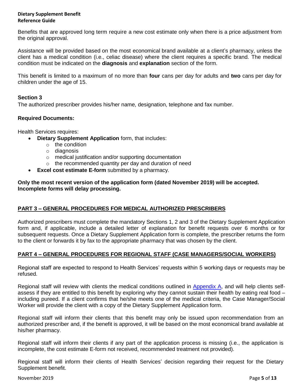#### **Dietary Supplement Benefit Reference Guide**

Benefits that are approved long term require a new cost estimate only when there is a price adjustment from the original approval.

Assistance will be provided based on the most economical brand available at a client's pharmacy, unless the client has a medical condition (i.e., celiac disease) where the client requires a specific brand. The medical condition must be indicated on the **diagnosis** and **explanation** section of the form.

This benefit is limited to a maximum of no more than **four** cans per day for adults and **two** cans per day for children under the age of 15.

## <span id="page-4-0"></span>**Section 3**

The authorized prescriber provides his/her name, designation, telephone and fax number.

#### <span id="page-4-1"></span>**Required Documents:**

Health Services requires:

- **Dietary Supplement Application** form, that includes:
	- o the condition
	- o diagnosis
	- o medical justification and/or supporting documentation
	- o the recommended quantity per day and duration of need
- **Excel cost estimate E-form** submitted by a pharmacy.

**Only the most recent version of the application form (dated November 2019) will be accepted. Incomplete forms will delay processing.**

#### <span id="page-4-2"></span>**PART 3 – GENERAL PROCEDURES FOR MEDICAL AUTHORIZED PRESCRIBERS**

Authorized prescribers must complete the mandatory Sections 1, 2 and 3 of the Dietary Supplement Application form and, if applicable, include a detailed letter of explanation for benefit requests over 6 months or for subsequent requests. Once a Dietary Supplement Application form is complete, the prescriber returns the form to the client or forwards it by fax to the appropriate pharmacy that was chosen by the client.

#### <span id="page-4-3"></span>**PART 4 – GENERAL PROCEDURES FOR REGIONAL STAFF (CASE MANAGERS/SOCIAL WORKERS)**

Regional staff are expected to respond to Health Services' requests within 5 working days or requests may be refused.

Regional staff will review with clients the medical conditions outlined in [Appendix A,](#page-6-5) and will help clients selfassess if they are entitled to this benefit by exploring why they cannot sustain their health by eating real food – including pureed. If a client confirms that he/she meets one of the medical criteria, the Case Manager/Social Worker will provide the client with a copy of the Dietary Supplement Application form.

Regional staff will inform their clients that this benefit may only be issued upon recommendation from an authorized prescriber and, if the benefit is approved, it will be based on the most economical brand available at his/her pharmacy.

Regional staff will inform their clients if any part of the application process is missing (i.e., the application is incomplete, the cost estimate E-form not received, recommended treatment not provided).

Regional staff will inform their clients of Health Services' decision regarding their request for the Dietary Supplement benefit.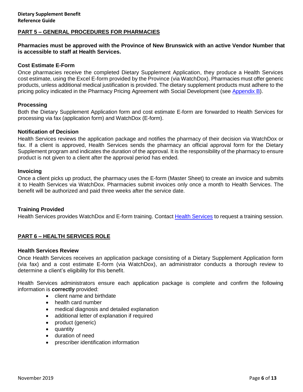#### <span id="page-5-0"></span>**PART 5 – GENERAL PROCEDURES FOR PHARMACIES**

#### **Pharmacies must be approved with the Province of New Brunswick with an active Vendor Number that is accessible to staff at Health Services.**

#### <span id="page-5-1"></span>**Cost Estimate E-Form**

Once pharmacies receive the completed Dietary Supplement Application, they produce a Health Services cost estimate, using the Excel E-form provided by the Province (via WatchDox). Pharmacies must offer generic products, unless additional medical justification is provided. The dietary supplement products must adhere to the pricing policy indicated in the Pharmacy Pricing Agreement with Social Development (see [Appendix B\)](#page-8-0).

#### <span id="page-5-2"></span>**Processing**

Both the Dietary Supplement Application form and cost estimate E-form are forwarded to Health Services for processing via fax (application form) and WatchDox (E-form).

#### <span id="page-5-3"></span>**Notification of Decision**

Health Services reviews the application package and notifies the pharmacy of their decision via WatchDox or fax. If a client is approved, Health Services sends the pharmacy an official approval form for the Dietary Supplement program and indicates the duration of the approval. It is the responsibility of the pharmacy to ensure product is not given to a client after the approval period has ended.

#### <span id="page-5-4"></span>**Invoicing**

Once a client picks up product, the pharmacy uses the E-form (Master Sheet) to create an invoice and submits it to Health Services via WatchDox. Pharmacies submit invoices only once a month to Health Services. The benefit will be authorized and paid three weeks after the service date.

#### <span id="page-5-5"></span>**Training Provided**

[Health Services](#page-6-4) provides WatchDox and E-form training. Contact Health Services to request a training session.

#### <span id="page-5-6"></span>**PART 6 – HEALTH SERVICES ROLE**

#### <span id="page-5-7"></span>**Health Services Review**

Once Health Services receives an application package consisting of a Dietary Supplement Application form (via fax) and a cost estimate E-form (via WatchDox), an administrator conducts a thorough review to determine a client's eligibility for this benefit.

Health Services administrators ensure each application package is complete and confirm the following information is **correctly** provided:

- client name and birthdate
- health card number
- medical diagnosis and detailed explanation
- additional letter of explanation if required
- product (generic)
- quantity
- duration of need
- prescriber identification information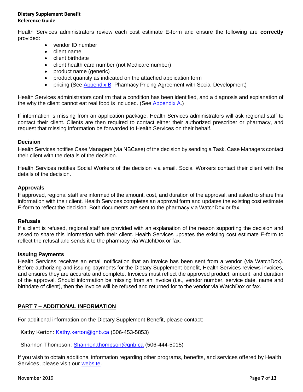#### **Dietary Supplement Benefit Reference Guide**

Health Services administrators review each cost estimate E-form and ensure the following are **correctly** provided:

- vendor ID number
- client name
- client birthdate
- client health card number (not Medicare number)
- product name (generic)
- product quantity as indicated on the attached application form
- pricing (See [Appendix B:](#page-8-0) Pharmacy Pricing Agreement with Social Development)

Health Services administrators confirm that a condition has been identified, and a diagnosis and explanation of the why the client cannot eat real food is included. (See  $\Delta$ ppendix  $\Delta$ .)

If information is missing from an application package, Health Services administrators will ask regional staff to contact their client. Clients are then required to contact either their authorized prescriber or pharmacy, and request that missing information be forwarded to Health Services on their behalf.

#### <span id="page-6-0"></span>**Decision**

Health Services notifies Case Managers (via NBCase) of the decision by sending a Task. Case Managers contact their client with the details of the decision.

Health Services notifies Social Workers of the decision via email. Social Workers contact their client with the details of the decision.

#### <span id="page-6-1"></span>**Approvals**

If approved, regional staff are informed of the amount, cost, and duration of the approval, and asked to share this information with their client. Health Services completes an approval form and updates the existing cost estimate E-form to reflect the decision. Both documents are sent to the pharmacy via WatchDox or fax.

#### <span id="page-6-2"></span>**Refusals**

If a client is refused, regional staff are provided with an explanation of the reason supporting the decision and asked to share this information with their client. Health Services updates the existing cost estimate E-form to reflect the refusal and sends it to the pharmacy via WatchDox or fax.

#### <span id="page-6-3"></span>**Issuing Payments**

Health Services receives an email notification that an invoice has been sent from a vendor (via WatchDox). Before authorizing and issuing payments for the Dietary Supplement benefit, Health Services reviews invoices, and ensures they are accurate and complete. Invoices must reflect the approved product, amount, and duration of the approval. Should information be missing from an invoice (i.e., vendor number, service date, name and birthdate of client), then the invoice will be refused and returned for to the vendor via WatchDox or fax.

#### <span id="page-6-4"></span>**PART 7 – ADDITIONAL INFORMATION**

For additional information on the Dietary Supplement Benefit, please contact:

Kathy Kerton: [Kathy.kerton@gnb.ca](mailto:Kathy.kerton@gnb.ca) (506-453-5853)

Shannon Thompson: [Shannon.thompson@gnb.ca](mailto:Shannon.thompson@gnb.ca) (506-444-5015)

<span id="page-6-5"></span>If you wish to obtain additional information regarding other programs, benefits, and services offered by Health Services, please visit our [website.](https://www2.gnb.ca/content/gnb/en/departments/social_development/health_services.html)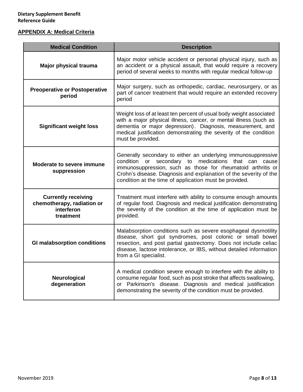# <span id="page-7-0"></span>**APPENDIX A: Medical Criteria**

| <b>Medical Condition</b>                                                            | <b>Description</b>                                                                                                                                                                                                                                                                                                            |
|-------------------------------------------------------------------------------------|-------------------------------------------------------------------------------------------------------------------------------------------------------------------------------------------------------------------------------------------------------------------------------------------------------------------------------|
| Major physical trauma                                                               | Major motor vehicle accident or personal physical injury, such as<br>an accident or a physical assault, that would require a recovery<br>period of several weeks to months with regular medical follow-up                                                                                                                     |
| <b>Preoperative or Postoperative</b><br>period                                      | Major surgery, such as orthopedic, cardiac, neurosurgery, or as<br>part of cancer treatment that would require an extended recovery<br>period                                                                                                                                                                                 |
| <b>Significant weight loss</b>                                                      | Weight loss of at least ten percent of usual body weight associated<br>with a major physical illness, cancer, or mental illness (such as<br>dementia or major depression). Diagnosis, measurement, and<br>medical justification demonstrating the severity of the condition<br>must be provided.                              |
| <b>Moderate to severe immune</b><br>suppression                                     | Generally secondary to either an underlying immunosuppressive<br>condition or<br>medications that can<br>secondary to<br>cause<br>immunosuppression, such as those for rheumatoid arthritis or<br>Crohn's disease. Diagnosis and explanation of the severity of the<br>condition at the time of application must be provided. |
| <b>Currently receiving</b><br>chemotherapy, radiation or<br>interferon<br>treatment | Treatment must interfere with ability to consume enough amounts<br>of regular food. Diagnosis and medical justification demonstrating<br>the severity of the condition at the time of application must be<br>provided.                                                                                                        |
| <b>GI malabsorption conditions</b>                                                  | Malabsorption conditions such as severe esophageal dysmotility<br>disease, short gut syndromes, post colonic or small bowel<br>resection, and post partial gastrectomy. Does not include celiac<br>disease, lactose intolerance, or IBS, without detailed information<br>from a GI specialist.                                |
| Neurological<br>degeneration                                                        | A medical condition severe enough to interfere with the ability to<br>consume regular food, such as post stroke that affects swallowing,<br>or Parkinson's disease. Diagnosis and medical justification<br>demonstrating the severity of the condition must be provided.                                                      |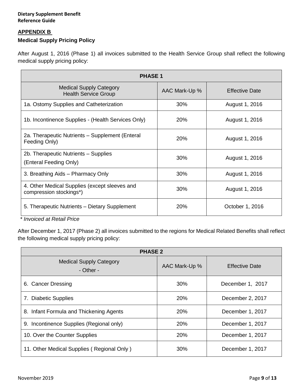#### <span id="page-8-0"></span>**APPENDIX B**

### <span id="page-8-1"></span>**Medical Supply Pricing Policy**

After August 1, 2016 (Phase 1) all invoices submitted to the Health Service Group shall reflect the following medical supply pricing policy:

| <b>PHASE 1</b>                                                           |               |                       |  |  |  |  |
|--------------------------------------------------------------------------|---------------|-----------------------|--|--|--|--|
| <b>Medical Supply Category</b><br><b>Health Service Group</b>            | AAC Mark-Up % | <b>Effective Date</b> |  |  |  |  |
| 1a. Ostomy Supplies and Catheterization                                  | 30%           | August 1, 2016        |  |  |  |  |
| 1b. Incontinence Supplies - (Health Services Only)                       | 20%           | August 1, 2016        |  |  |  |  |
| 2a. Therapeutic Nutrients - Supplement (Enteral<br>Feeding Only)         | 20%           | August 1, 2016        |  |  |  |  |
| 2b. Therapeutic Nutrients - Supplies<br>(Enteral Feeding Only)           | 30%           | August 1, 2016        |  |  |  |  |
| 3. Breathing Aids - Pharmacy Only                                        | 30%           | August 1, 2016        |  |  |  |  |
| 4. Other Medical Supplies (except sleeves and<br>compression stockings*) | 30%           | August 1, 2016        |  |  |  |  |
| 5. Therapeutic Nutrients - Dietary Supplement<br>.                       | 20%           | October 1, 2016       |  |  |  |  |

*\* Invoiced at Retail Price*

After December 1, 2017 (Phase 2) all invoices submitted to the regions for Medical Related Benefits shall reflect the following medical supply pricing policy:

<span id="page-8-2"></span>

| <b>PHASE 2</b>                              |               |                       |  |  |  |  |
|---------------------------------------------|---------------|-----------------------|--|--|--|--|
| <b>Medical Supply Category</b><br>- Other - | AAC Mark-Up % | <b>Effective Date</b> |  |  |  |  |
| 6. Cancer Dressing                          | 30%           | December 1, 2017      |  |  |  |  |
| 7. Diabetic Supplies                        | 20%           | December 2, 2017      |  |  |  |  |
| 8. Infant Formula and Thickening Agents     | 20%           | December 1, 2017      |  |  |  |  |
| 9. Incontinence Supplies (Regional only)    | 20%           | December 1, 2017      |  |  |  |  |
| 10. Over the Counter Supplies               | <b>20%</b>    | December 1, 2017      |  |  |  |  |
| 11. Other Medical Supplies (Regional Only)  | 30%           | December 1, 2017      |  |  |  |  |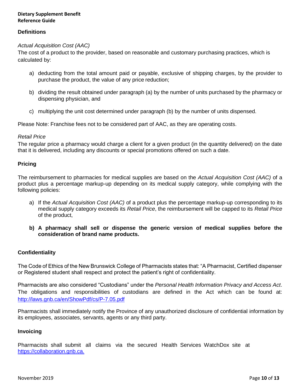#### **Dietary Supplement Benefit Reference Guide**

#### <span id="page-9-0"></span>**Definitions**

#### *Actual Acquisition Cost (AAC)*

The cost of a product to the provider, based on reasonable and customary purchasing practices, which is calculated by:

- a) deducting from the total amount paid or payable, exclusive of shipping charges, by the provider to purchase the product, the value of any price reduction;
- b) dividing the result obtained under paragraph (a) by the number of units purchased by the pharmacy or dispensing physician, and
- c) multiplying the unit cost determined under paragraph (b) by the number of units dispensed.

Please Note: Franchise fees not to be considered part of AAC, as they are operating costs.

#### *Retail Price*

The regular price a pharmacy would charge a client for a given product (in the quantity delivered) on the date that it is delivered, including any discounts or special promotions offered on such a date.

#### <span id="page-9-1"></span>**Pricing**

The reimbursement to pharmacies for medical supplies are based on the *Actual Acquisition Cost (AAC)* of a product plus a percentage markup-up depending on its medical supply category, while complying with the following policies:

- a) If the *Actual Acquisition Cost (AAC)* of a product plus the percentage markup-up corresponding to its medical supply category exceeds its *Retail Price*, the reimbursement will be capped to its *Retail Price*  of the product,
- **b) A pharmacy shall sell or dispense the generic version of medical supplies before the consideration of brand name products.**

#### <span id="page-9-2"></span>**Confidentiality**

The Code of Ethics of the New Brunswick College of Pharmacists states that: "A Pharmacist, Certified dispenser or Registered student shall respect and protect the patient's right of confidentiality.

Pharmacists are also considered "Custodians" under the *Personal Health Information Privacy and Access Act*. The obligations and responsibilities of custodians are defined in the Act which can be found at: <http://laws.gnb.ca/en/ShowPdf/cs/P-7.05.pdf>

Pharmacists shall immediately notify the Province of any unauthorized disclosure of confidential information by its employees, associates, servants, agents or any third party.

#### <span id="page-9-3"></span>**Invoicing**

Pharmacists shall submit all claims via the secured Health Services WatchDox site at [https://collaboration.gnb.ca.](https://collaboration.gnb.ca/)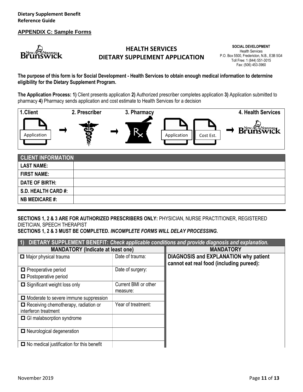#### <span id="page-10-0"></span>**APPENDIX C: Sample Forms**



# **HEALTH SERVICES DIETARY SUPPLEMENT APPLICATION**

**SOCIAL DEVELOPMENT** Health Services P.O. Box 5500, Fredericton, N.B., E3B 5G4 Toll Free: 1 (844) 551-3015 Fax: (506) 453-3960

#### **The purpose of this form is for Social Development - Health Services to obtain enough medical information to determine eligibility for the Dietary Supplement Program.**

**The Application Process: 1)** Client presents application **2)** Authorized prescriber completes application **3)** Application submitted to pharmacy **4)** Pharmacy sends application and cost estimate to Health Services for a decision



| <b>CLIENT INFORMATION</b> |  |
|---------------------------|--|
| <b>LAST NAME:</b>         |  |
| <b>FIRST NAME:</b>        |  |
| DATE OF BIRTH:            |  |
| S.D. HEALTH CARD #:       |  |
| <b>NB MEDICARE #:</b>     |  |

**SECTIONS 1, 2 & 3 ARE FOR AUTHORIZED PRESCRIBERS ONLY:** PHYSICIAN, NURSE PRACTITIONER, REGISTERED DIETICIAN, SPEECH THERAPIST

**SECTIONS 1, 2 & 3 MUST BE COMPLETED.** *INCOMPLETE FORMS WILL DELAY PROCESSING.* 

| DIETARY SUPPLEMENT BENEFIT: Check applicable conditions and provide diagnosis and explanation.<br>$\vert 1 \rangle$ |                                  |                                                                                          |  |  |  |
|---------------------------------------------------------------------------------------------------------------------|----------------------------------|------------------------------------------------------------------------------------------|--|--|--|
| <b>MANDATORY (Indicate at least one)</b>                                                                            |                                  | <b>MANDATORY</b>                                                                         |  |  |  |
| $\Box$ Major physical trauma                                                                                        | Date of trauma:                  | <b>DIAGNOSIS and EXPLANATION why patient</b><br>cannot eat real food (including pureed): |  |  |  |
| $\blacksquare$ Preoperative period<br>$\Box$ Postoperative period                                                   | Date of surgery:                 |                                                                                          |  |  |  |
| $\Box$ Significant weight loss only                                                                                 | Current BMI or other<br>measure: |                                                                                          |  |  |  |
| $\Box$ Moderate to severe immune suppression                                                                        |                                  |                                                                                          |  |  |  |
| $\blacksquare$ Receiving chemotherapy, radiation or<br>interferon treatment                                         | Year of treatment:               |                                                                                          |  |  |  |
| $\Box$ GI malabsorption syndrome                                                                                    |                                  |                                                                                          |  |  |  |
| □ Neurological degeneration                                                                                         |                                  |                                                                                          |  |  |  |
| $\Box$ No medical justification for this benefit                                                                    |                                  |                                                                                          |  |  |  |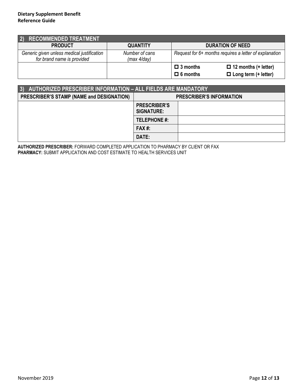| <b>RECOMMENDED TREATMENT</b><br>$ 2\rangle$                              |                               |                         |                                                        |
|--------------------------------------------------------------------------|-------------------------------|-------------------------|--------------------------------------------------------|
| <b>PRODUCT</b>                                                           | <b>QUANTITY</b>               | <b>DURATION OF NEED</b> |                                                        |
| Generic given unless medical justification<br>for brand name is provided | Number of cans<br>(max 4/day) |                         | Request for 6+ months requires a letter of explanation |
|                                                                          |                               | $\Box$ 3 months         | $\Box$ 12 months (+ letter)                            |
|                                                                          |                               | $\Box$ 6 months         | $\Box$ Long term (+ letter)                            |

| AUTHORIZED PRESCRIBER INFORMATION - ALL FIELDS ARE MANDATORY |                                          |                                 |  |  |  |  |
|--------------------------------------------------------------|------------------------------------------|---------------------------------|--|--|--|--|
| PRESCRIBER'S STAMP (NAME and DESIGNATION)                    |                                          | <b>PRESCRIBER'S INFORMATION</b> |  |  |  |  |
|                                                              | <b>PRESCRIBER'S</b><br><b>SIGNATURE:</b> |                                 |  |  |  |  |
|                                                              | <b>TELEPHONE #:</b>                      |                                 |  |  |  |  |
|                                                              | $FAX#$ :                                 |                                 |  |  |  |  |
|                                                              | DATE:                                    |                                 |  |  |  |  |

**AUTHORIZED PRESCRIBER:** FORWARD COMPLETED APPLICATION TO PHARMACY BY CLIENT OR FAX **PHARMACY:** SUBMIT APPLICATION AND COST ESTIMATE TO HEALTH SERVICES UNIT